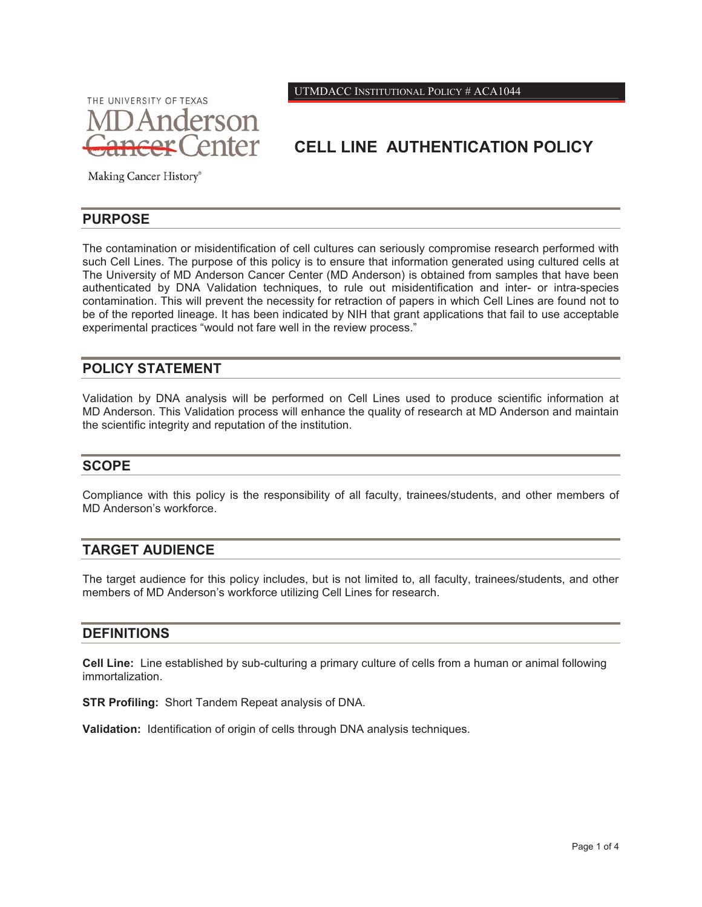THE UNIVERSITY OF TEXAS **Anderson** enter UTMDACC INSTITUTIONAL POLICY # ACA1044

# **CELL LINE AUTHENTICATION POLICY**

Making Cancer History®

#### **PURPOSE**

The contamination or misidentification of cell cultures can seriously compromise research performed with such Cell Lines. The purpose of this policy is to ensure that information generated using cultured cells at The University of MD Anderson Cancer Center (MD Anderson) is obtained from samples that have been authenticated by DNA Validation techniques, to rule out misidentification and inter- or intra-species contamination. This will prevent the necessity for retraction of papers in which Cell Lines are found not to be of the reported lineage. It has been indicated by NIH that grant applications that fail to use acceptable experimental practices "would not fare well in the review process."

### **POLICY STATEMENT**

Validation by DNA analysis will be performed on Cell Lines used to produce scientific information at MD Anderson. This Validation process will enhance the quality of research at MD Anderson and maintain the scientific integrity and reputation of the institution.

#### **SCOPE**

Compliance with this policy is the responsibility of all faculty, trainees/students, and other members of MD Anderson's workforce.

### **TARGET AUDIENCE**

The target audience for this policy includes, but is not limited to, all faculty, trainees/students, and other members of MD Anderson's workforce utilizing Cell Lines for research.

#### **DEFINITIONS**

**Cell Line:** Line established by sub-culturing a primary culture of cells from a human or animal following immortalization.

**STR Profiling:** Short Tandem Repeat analysis of DNA.

**Validation:** Identification of origin of cells through DNA analysis techniques.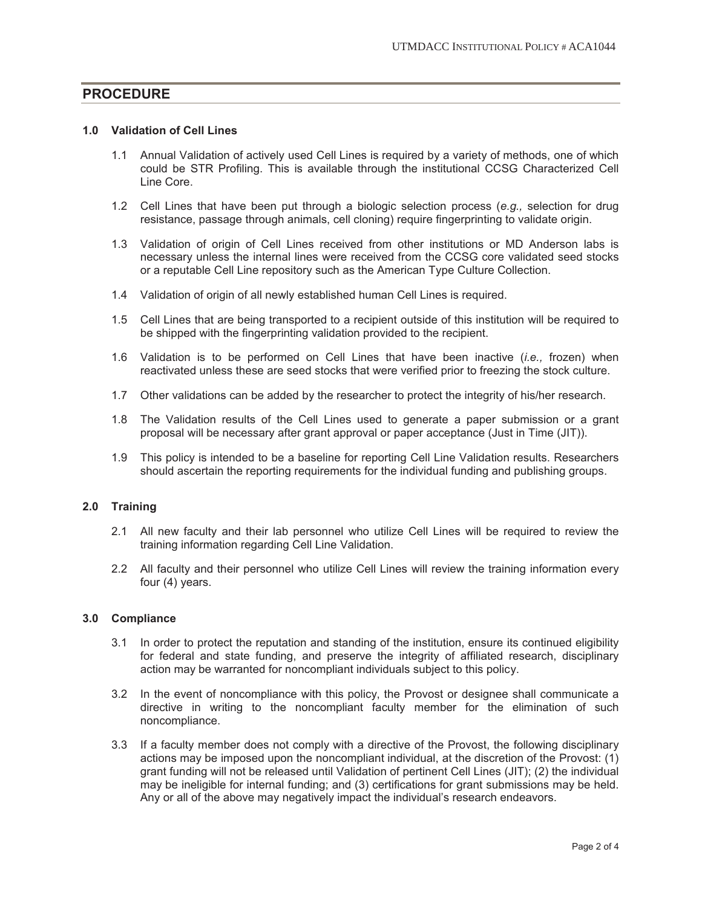### **PROCEDURE**

#### **1.0 Validation of Cell Lines**

- 1.1 Annual Validation of actively used Cell Lines is required by a variety of methods, one of which could be STR Profiling. This is available through the institutional CCSG Characterized Cell Line Core.
- 1.2 Cell Lines that have been put through a biologic selection process (*e.g.,* selection for drug resistance, passage through animals, cell cloning) require fingerprinting to validate origin.
- 1.3 Validation of origin of Cell Lines received from other institutions or MD Anderson labs is necessary unless the internal lines were received from the CCSG core validated seed stocks or a reputable Cell Line repository such as the American Type Culture Collection.
- 1.4 Validation of origin of all newly established human Cell Lines is required.
- 1.5 Cell Lines that are being transported to a recipient outside of this institution will be required to be shipped with the fingerprinting validation provided to the recipient.
- 1.6 Validation is to be performed on Cell Lines that have been inactive (*i.e.,* frozen) when reactivated unless these are seed stocks that were verified prior to freezing the stock culture.
- 1.7 Other validations can be added by the researcher to protect the integrity of his/her research.
- 1.8 The Validation results of the Cell Lines used to generate a paper submission or a grant proposal will be necessary after grant approval or paper acceptance (Just in Time (JIT)).
- 1.9 This policy is intended to be a baseline for reporting Cell Line Validation results. Researchers should ascertain the reporting requirements for the individual funding and publishing groups.

#### **2.0 Training**

- 2.1 All new faculty and their lab personnel who utilize Cell Lines will be required to review the training information regarding Cell Line Validation.
- 2.2 All faculty and their personnel who utilize Cell Lines will review the training information every four (4) years.

#### **3.0 Compliance**

- 3.1 In order to protect the reputation and standing of the institution, ensure its continued eligibility for federal and state funding, and preserve the integrity of affiliated research, disciplinary action may be warranted for noncompliant individuals subject to this policy.
- 3.2 In the event of noncompliance with this policy, the Provost or designee shall communicate a directive in writing to the noncompliant faculty member for the elimination of such noncompliance.
- 3.3 If a faculty member does not comply with a directive of the Provost, the following disciplinary actions may be imposed upon the noncompliant individual, at the discretion of the Provost: (1) grant funding will not be released until Validation of pertinent Cell Lines (JIT); (2) the individual may be ineligible for internal funding; and (3) certifications for grant submissions may be held. Any or all of the above may negatively impact the individual's research endeavors.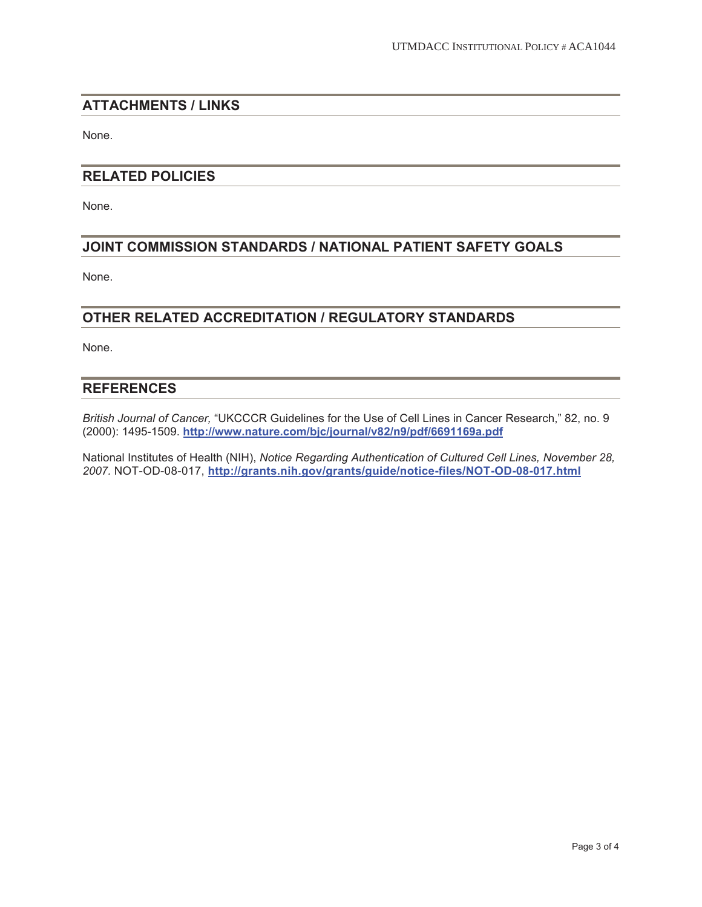### **ATTACHMENTS / LINKS**

None.

### **RELATED POLICIES**

None.

### **JOINT COMMISSION STANDARDS / NATIONAL PATIENT SAFETY GOALS**

None.

### **OTHER RELATED ACCREDITATION / REGULATORY STANDARDS**

None.

#### **REFERENCES**

*British Journal of Cancer,* "UKCCCR Guidelines for the Use of Cell Lines in Cancer Research," 82, no. 9 (2000): 1495-1509. **http://www.nature.com/bjc/journal/v82/n9/pdf/6691169a.pdf**

National Institutes of Health (NIH), *Notice Regarding Authentication of Cultured Cell Lines, November 28, 2007.* NOT-OD-08-017, **http://grants.nih.gov/grants/guide/notice-files/NOT-OD-08-017.html**